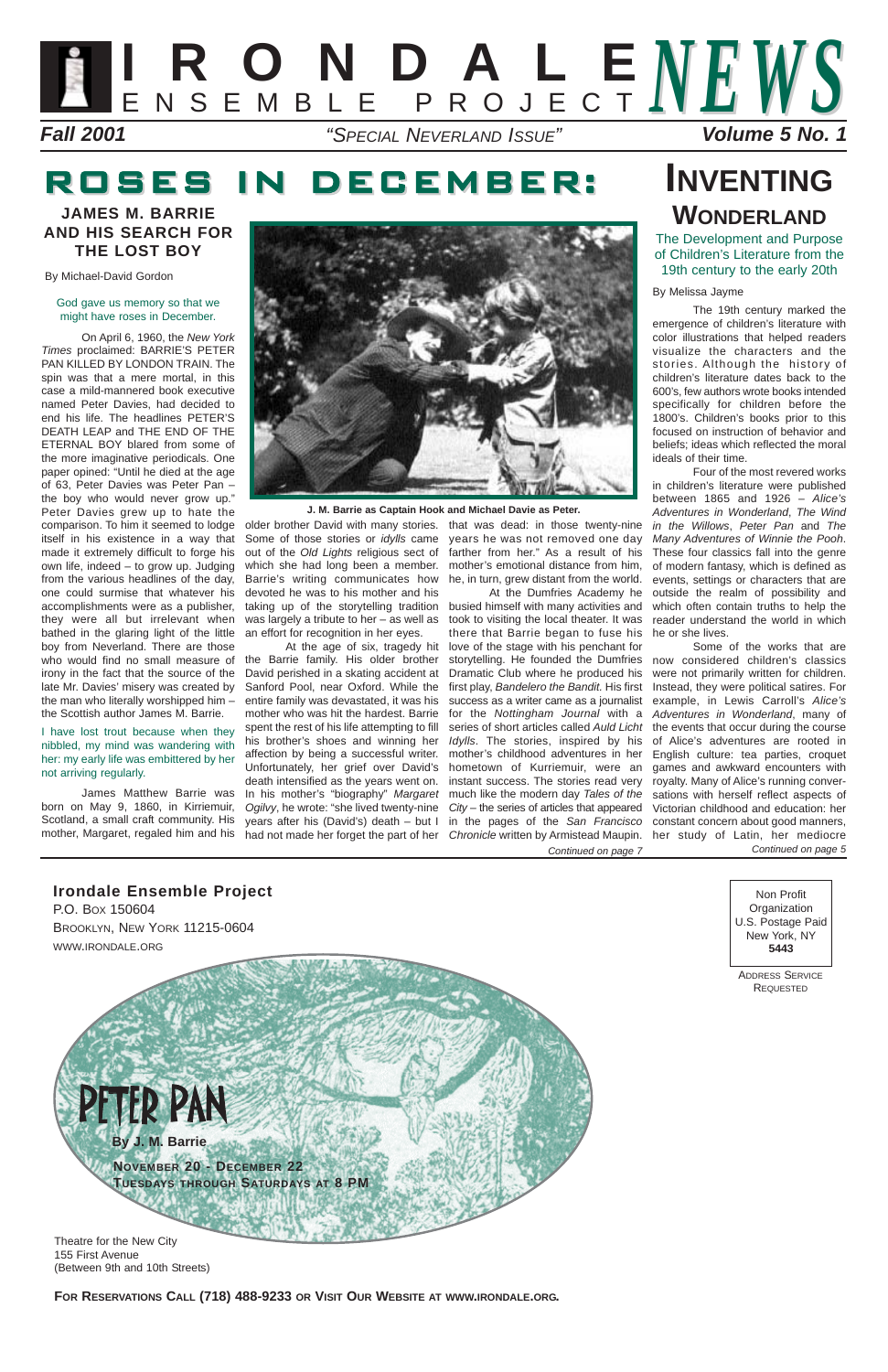#### **Irondale Ensemble Project**

P.O. BOX 150604 BROOKLYN, NEW YORK 11215-0604 WWW.IRONDALE.ORG

Non Profit **Organization** U.S. Postage Paid New York, NY **5443**

ADDRESS SERVICE REQUESTED



155 First Avenue (Between 9th and 10th Streets)

**FOR RESERVATIONS CALL (718) 488-9233 OR VISIT OUR WEBSITE AT WWW.IRONDALE.ORG.**

By Michael-David Gordon

#### God gave us memory so that we might have roses in December.

On April 6, 1960, the New York Times proclaimed: BARRIE'S PETER PAN KILLED BY LONDON TRAIN. The spin was that a mere mortal, in this case a mild-mannered book executive named Peter Davies, had decided to end his life. The headlines PETER'S DEATH LEAP and THE END OF THE ETERNAL BOY blared from some of the more imaginative periodicals. One paper opined: "Until he died at the age of 63, Peter Davies was Peter Pan – the boy who would never grow up." Peter Davies grew up to hate the comparison. To him it seemed to lodge itself in his existence in a way that made it extremely difficult to forge his own life, indeed – to grow up. Judging from the various headlines of the day, one could surmise that whatever his accomplishments were as a publisher, they were all but irrelevant when bathed in the glaring light of the little boy from Neverland. There are those who would find no small measure of irony in the fact that the source of the late Mr. Davies' misery was created by the man who literally worshipped him – the Scottish author James M. Barrie.

At the age of six, tragedy hit the Barrie family. His older brother David perished in a skating accident at Sanford Pool, near Oxford. While the entire family was devastated, it was his mother who was hit the hardest. Barrie spent the rest of his life attempting to fill his brother's shoes and winning her affection by being a successful writer. Unfortunately, her grief over David's death intensified as the years went on. In his mother's "biography" Margaret Ogilvy, he wrote: "she lived twenty-nine City - the series of articles that appeared

**WARD STATE** 

#### I have lost trout because when they nibbled, my mind was wandering with her: my early life was embittered by her not arriving regularly.

James Matthew Barrie was born on May 9, 1860, in Kirriemuir, Scotland, a small craft community. His mother, Margaret, regaled him and his



Some of those stories or idylls came out of the Old Lights religious sect of which she had long been a member. Barrie's writing communicates how devoted he was to his mother and his taking up of the storytelling tradition was largely a tribute to her – as well as an effort for recognition in her eyes.

Four of the most revered works in children's literature were published between 1865 and 1926 – Alice's Adventures in Wonderland, The Wind in the Willows, Peter Pan and The Many Adventures of Winnie the Pooh. These four classics fall into the genre of modern fantasy, which is defined as events, settings or characters that are outside the realm of possibility and which often contain truths to help the

older brother David with many stories. that was dead: in those twenty-nine years he was not removed one day farther from her." As a result of his mother's emotional distance from him, he, in turn, grew distant from the world.



years after his (David's) death – but I in the pages of the San Francisco constant concern about good manners, had not made her forget the part of her Chronicle written by Armistead Maupin. her study of Latin, her mediocre At the Dumfries Academy he busied himself with many activities and took to visiting the local theater. It was reader understand the world in which there that Barrie began to fuse his he or she lives. love of the stage with his penchant for storytelling. He founded the Dumfries now considered children's classics Dramatic Club where he produced his first play, Bandelero the Bandit. His first success as a writer came as a journalist example, in Lewis Carroll's Alice's for the Nottingham Journal with a series of short articles called Auld Licht the events that occur during the course Idylls. The stories, inspired by his of Alice's adventures are rooted in mother's childhood adventures in her hometown of Kurriemuir, were an instant success. The stories read very much like the modern day Tales of the sations with herself reflect aspects of Continued on page 7

## ROSES IN DECEMBER:

By Melissa Jayme

The 19th century marked the emergence of children's literature with color illustrations that helped readers visualize the characters and the stories. Although the history of children's literature dates back to the 600's, few authors wrote books intended specifically for children before the 1800's. Children's books prior to this focused on instruction of behavior and beliefs; ideas which reflected the moral ideals of their time.

Some of the works that are were not primarily written for children. Instead, they were political satires. For Adventures in Wonderland, many of English culture: tea parties, croquet games and awkward encounters with royalty. Many of Alice's running conver-Victorian childhood and education: her Continued on page 5

## **INVENTING WONDERLAND**

The Development and Purpose of Children's Literature from the 19th century to the early 20th

#### **JAMES M. BARRIE AND HIS SEARCH FOR THE LOST BOY**

**J. M. Barrie as Captain Hook and Michael Davie as Peter.**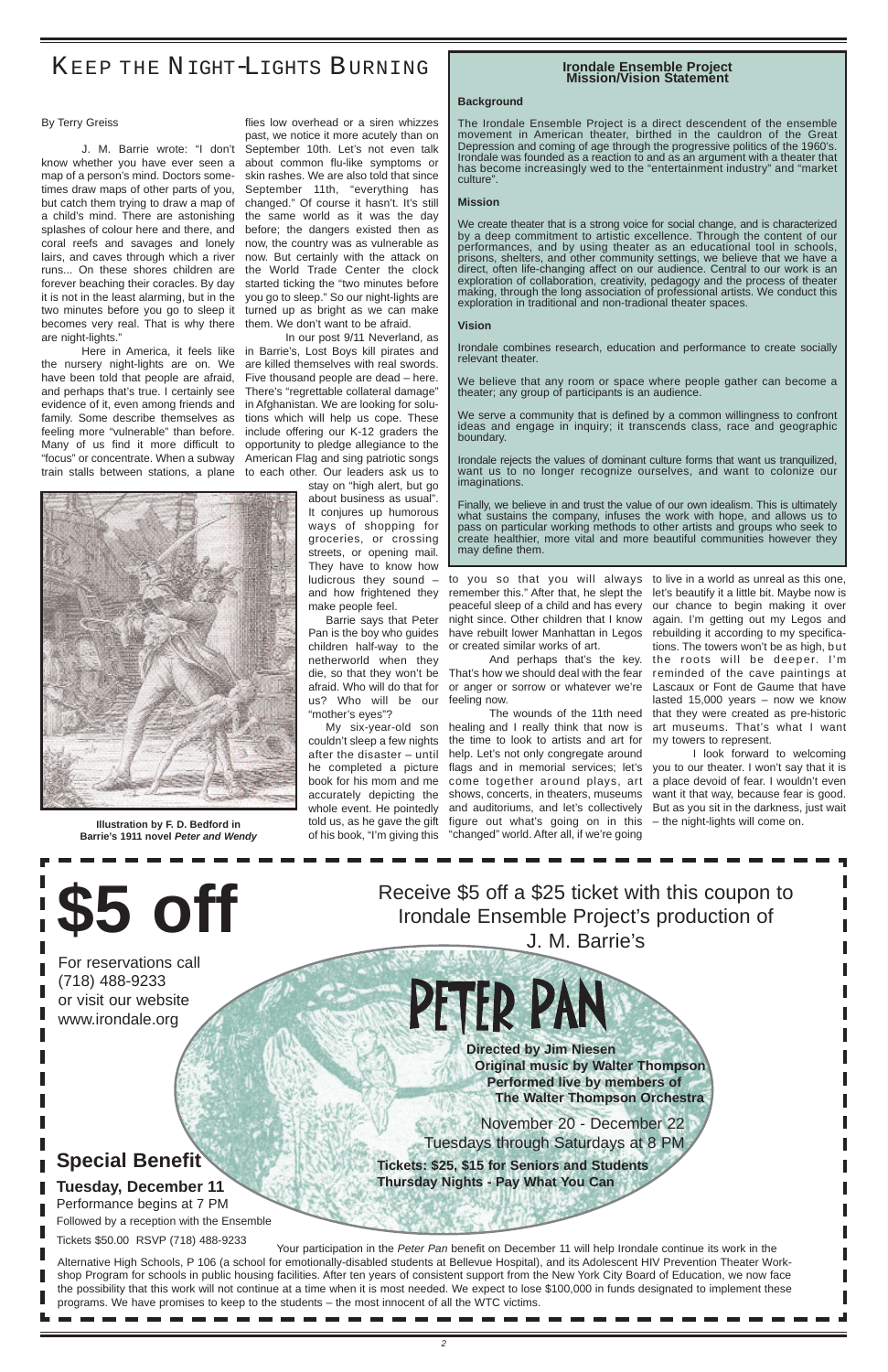November 20 - December 22 Tuesdays through Saturdays at 8 PM

**\$5 off** Receive \$5 off a \$25 ticket with this coupon to<br>
Irondale Ensemble Project's production of Irondale Ensemble Project's production of J. M. Barrie's

> **Directed by Jim Niesen Original music by Walter Thompson Performed live by members of The Walter Thompson Orchestra**

**Tickets: \$25, \$15 for Seniors and Students Thursday Nights - Pay What You Can**

For reservations call (718) 488-9233 or visit our website

#### www.irondale.org

#### By Terry Greiss

know whether you have ever seen a about common flu-like symptoms or map of a person's mind. Doctors sometimes draw maps of other parts of you, but catch them trying to draw a map of a child's mind. There are astonishing splashes of colour here and there, and coral reefs and savages and lonely lairs, and caves through which a river runs... On these shores children are forever beaching their coracles. By day it is not in the least alarming, but in the two minutes before you go to sleep it becomes very real. That is why there them. We don't want to be afraid. are night-lights."

J. M. Barrie wrote: "I don't September 10th. Let's not even talk flies low overhead or a siren whizzes past, we notice it more acutely than on skin rashes. We are also told that since September 11th, "everything has changed." Of course it hasn't. It's still the same world as it was the day before; the dangers existed then as now, the country was as vulnerable as now. But certainly with the attack on the World Trade Center the clock started ticking the "two minutes before you go to sleep." So our night-lights are turned up as bright as we can make

Here in America, it feels like in Barrie's, Lost Boys kill pirates and In our post 9/11 Neverland, as are killed themselves with real swords. Five thousand people are dead – here. There's "regrettable collateral damage" in Afghanistan. We are looking for solutions which will help us cope. These include offering our K-12 graders the opportunity to pledge allegiance to the American Flag and sing patriotic songs

the nursery night-lights are on. We have been told that people are afraid, and perhaps that's true. I certainly see evidence of it, even among friends and family. Some describe themselves as feeling more "vulnerable" than before. Many of us find it more difficult to "focus" or concentrate. When a subway train stalls between stations, a plane to each other. Our leaders ask us to

> Pan is the boy who guides have rebuilt lower Manhattan in Legos rebuilding it according to my specificachildren half-way to the or created similar works of art. to you so that you will always to live in a world as unreal as this one, remember this." After that, he slept the let's beautify it a little bit. Maybe now is peaceful sleep of a child and has every our chance to begin making it over night since. Other children that I know again. I'm getting out my Legos and

> die, so that they won't be That's how we should deal with the fear reminded of the cave paintings at afraid. Who will do that for or anger or sorrow or whatever we're Lascaux or Font de Gaume that have

stay on "high alert, but go about business as usual". It conjures up humorous ways of shopping for groceries, or crossing streets, or opening mail. They have to know how ludicrous they sound – and how frightened they make people feel.

Barrie says that Peter netherworld when they us? Who will be our feeling now. "mother's eyes"?

My six-year-old son healing and I really think that now is art museums. That's what I want couldn't sleep a few nights the time to look to artists and art for after the disaster - until help. Let's not only congregate around he completed a picture flags and in memorial services; let's you to our theater. I won't say that it is book for his mom and me come together around plays, art a place devoid of fear. I wouldn't even accurately depicting the shows, concerts, in theaters, museums whole event. He pointedly and auditoriums, and let's collectively told us, as he gave the gift figure out what's going on in this of his book, "I'm giving this "changed" world. After all, if we're going

Your participation in the Peter Pan benefit on December 11 will help Irondale continue its work in the Alternative High Schools, P 106 (a school for emotionally-disabled students at Bellevue Hospital), and its Adolescent HIV Prevention Theater Workshop Program for schools in public housing facilities. After ten years of consistent support from the New York City Board of Education, we now face the possibility that this work will not continue at a time when it is most needed. We expect to lose \$100,000 in funds designated to implement these programs. We have promises to keep to the students – the most innocent of all the WTC victims.

And perhaps that's the key. the roots will be deeper. I'm The wounds of the 11th need that they were created as pre-historic tions. The towers won't be as high, but lasted 15,000 years – now we know my towers to represent.

### KEEP THE NIGHT-LIGHTS BURNING

I look forward to welcoming want it that way, because fear is good. But as you sit in the darkness, just wait – the night-lights will come on.

#### **Irondale Ensemble Project Mission/Vision Statement**

#### **Background**

The Irondale Ensemble Project is a direct descendent of the ensemble movement in American theater, birthed in the cauldron of the Great Depression and coming of age through the progressive politics of the 1960's. Irondale was founded as a reaction to and as an argument with a theater that has become increasingly wed to the "entertainment industry" and "market culture".

#### **Mission**

We create theater that is a strong voice for social change, and is characterized by a deep commitment to artistic excellence. Through the content of our performances, and by using theater as an educational tool in schools, prisons, shelters, and other community settings, we believe that we have a direct, often life-changing affect on our audience. Central to our work is an exploration of collaboration, creativity, pedagogy and the process of theater making, through the long association of professional artists. We conduct this exploration in traditional and non-tradional theater spaces.

#### **Vision**

Irondale combines research, education and performance to create socially relevant theater.

We believe that any room or space where people gather can become a theater; any group of participants is an audience.

We serve a community that is defined by a common willingness to confront ideas and engage in inquiry; it transcends class, race and geographic boundary.

Irondale rejects the values of dominant culture forms that want us tranquilized, want us to no longer recognize ourselves, and want to colonize our imaginations.

Finally, we believe in and trust the value of our own idealism. This is ultimately what sustains the company, infuses the work with hope, and allows us to pass on particular working methods to other artists and groups who seek to create healthier, more vital and more beautiful communities however they may define them.



**Illustration by F. D. Bedford in Barrie's 1911 novel Peter and Wendy**

### **Special Benefit**

#### **Tuesday, December 11**

Performance begins at 7 PM

Followed by a reception with the Ensemble

#### Tickets \$50.00 RSVP (718) 488-9233

## PETER PAN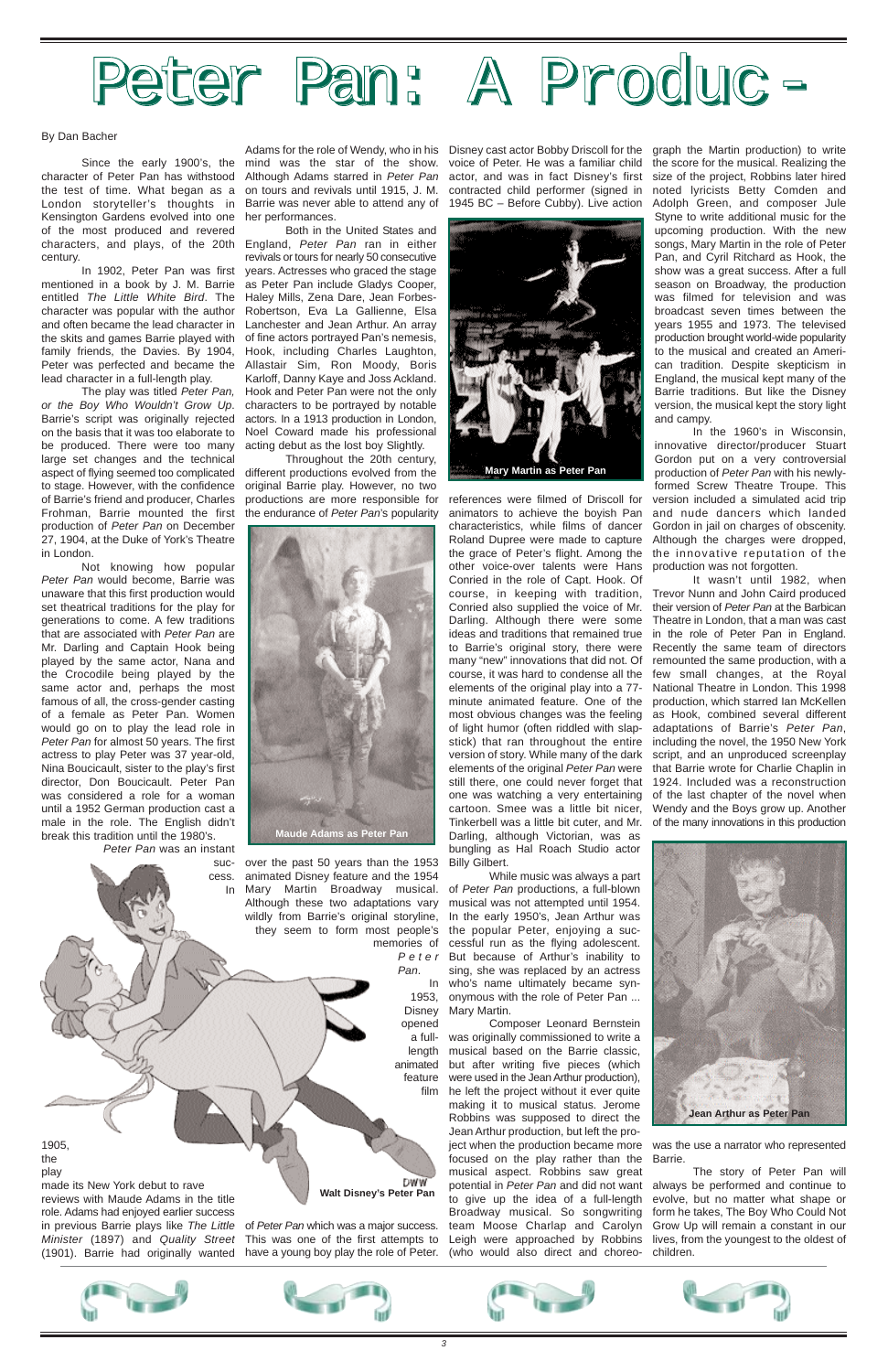#### By Dan Bacher

character of Peter Pan has withstood Although Adams starred in Peter Pan actor, and was in fact Disney's first size of the project, Robbins later hired the test of time. What began as a on tours and revivals until 1915, J. M. contracted child performer (signed in noted lyricists Betty Comden and London storyteller's thoughts in Barrie was never able to attend any of 1945 BC – Before Cubby). Live action Kensington Gardens evolved into one her performances. of the most produced and revered characters, and plays, of the 20th England, Peter Pan ran in either century.

In 1902, Peter Pan was first mentioned in a book by J. M. Barrie as Peter Pan include Gladys Cooper, entitled The Little White Bird. The Haley Mills, Zena Dare, Jean Forbescharacter was popular with the author Robertson, Eva La Gallienne, Elsa and often became the lead character in Lanchester and Jean Arthur. An array the skits and games Barrie played with of fine actors portrayed Pan's nemesis, family friends, the Davies. By 1904, Peter was perfected and became the Allastair Sim, Ron Moody, Boris lead character in a full-length play.

The play was titled Peter Pan, or the Boy Who Wouldn't Grow Up. Barrie's script was originally rejected on the basis that it was too elaborate to be produced. There were too many large set changes and the technical aspect of flying seemed too complicated to stage. However, with the confidence of Barrie's friend and producer, Charles Frohman, Barrie mounted the first production of Peter Pan on December 27, 1904, at the Duke of York's Theatre in London.

made its New York debut to rave reviews with Maude Adams in the title role. Adams had enjoyed earlier success in previous Barrie plays like The Little of Peter Pan which was a major success. Minister (1897) and Quality Street This was one of the first attempts to

Not knowing how popular Peter Pan would become, Barrie was unaware that this first production would set theatrical traditions for the play for generations to come. A few traditions that are associated with Peter Pan are Mr. Darling and Captain Hook being played by the same actor, Nana and the Crocodile being played by the same actor and, perhaps the most famous of all, the cross-gender casting of a female as Peter Pan. Women would go on to play the lead role in Peter Pan for almost 50 years. The first actress to play Peter was 37 year-old, Nina Boucicault, sister to the play's first director, Don Boucicault. Peter Pan was considered a role for a woman until a 1952 German production cast a male in the role. The English didn't break this tradition until the 1980's.

Peter Pan was an instant

success. Adams for the role of Wendy, who in his Disney cast actor Bobby Driscoll for the graph the Martin production) to write

1905, the play





In Mary Martin Broadway musical. over the past 50 years than the 1953 animated Disney feature and the 1954 Although these two adaptations vary wildly from Barrie's original storyline, they seem to form most people's

Both in the United States and revivals or tours for nearly 50 consecutive years. Actresses who graced the stage Hook, including Charles Laughton, Karloff, Danny Kaye and Joss Ackland. Hook and Peter Pan were not the only characters to be portrayed by notable actors. In a 1913 production in London, Noel Coward made his professional acting debut as the lost boy Slightly.

(1901). Barrie had originally wanted have a young boy play the role of Peter.

Throughout the 20th century, different productions evolved from the original Barrie play. However, no two productions are more responsible for the endurance of Peter Pan's popularity

Since the early 1900's, the mind was the star of the show. voice of Peter. He was a familiar child the score for the musical. Realizing the Adolph Green, and composer Jule Styne to write additional music for the upcoming production. With the new songs, Mary Martin in the role of Peter Pan, and Cyril Ritchard as Hook, the show was a great success. After a full season on Broadway, the production was filmed for television and was broadcast seven times between the years 1955 and 1973. The televised production brought world-wide popularity to the musical and created an American tradition. Despite skepticism in England, the musical kept many of the Barrie traditions. But like the Disney version, the musical kept the story light and campy.

Pan.

**DWW Walt Disney's Peter Pan**

memories of cessful run as the flying adolescent. Peter But because of Arthur's inability to In who's name ultimately became syn-1953, onymous with the role of Peter Pan ... While music was always a part of Peter Pan productions, a full-blown musical was not attempted until 1954. In the early 1950's, Jean Arthur was the popular Peter, enjoying a sucsing, she was replaced by an actress

references were filmed of Driscoll for animators to achieve the boyish Pan characteristics, while films of dancer Roland Dupree were made to capture the grace of Peter's flight. Among the the innovative reputation of the other voice-over talents were Hans production was not forgotten. Conried in the role of Capt. Hook. Of course, in keeping with tradition, Trevor Nunn and John Caird produced Conried also supplied the voice of Mr. their version of Peter Pan at the Barbican Darling. Although there were some ideas and traditions that remained true to Barrie's original story, there were many "new" innovations that did not. Of course, it was hard to condense all the elements of the original play into a 77 minute animated feature. One of the production, which starred Ian McKellen most obvious changes was the feeling of light humor (often riddled with slapstick) that ran throughout the entire version of story. While many of the dark script, and an unproduced screenplay elements of the original Peter Pan were that Barrie wrote for Charlie Chaplin in still there, one could never forget that 1924. Included was a reconstruction one was watching a very entertaining of the last chapter of the novel when cartoon. Smee was a little bit nicer, Tinkerbell was a little bit cuter, and Mr. of the many innovations in this production Darling, although Victorian, was as bungling as Hal Roach Studio actor Billy Gilbert.

Disney Mary Martin.

opened a full-was originally commissioned to write a length musical based on the Barrie classic, animated but after writing five pieces (which feature were used in the Jean Arthur production), film he left the project without it ever quite Composer Leonard Bernstein making it to musical status. Jerome Robbins was supposed to direct the Jean Arthur production, but left the project when the production became more was the use a narrator who represented focused on the play rather than the Barrie. musical aspect. Robbins saw great potential in Peter Pan and did not want always be performed and continue to to give up the idea of a full-length evolve, but no matter what shape or Broadway musical. So songwriting team Moose Charlap and Carolyn Leigh were approached by Robbins (who would also direct and choreo-

In the 1960's in Wisconsin, innovative director/producer Stuart Gordon put on a very controversial production of Peter Pan with his newlyformed Screw Theatre Troupe. This version included a simulated acid trip and nude dancers which landed Gordon in jail on charges of obscenity. Although the charges were dropped,

It wasn't until 1982, when Theatre in London, that a man was cast in the role of Peter Pan in England. Recently the same team of directors remounted the same production, with a few small changes, at the Royal National Theatre in London. This 1998 as Hook, combined several different adaptations of Barrie's Peter Pan, including the novel, the 1950 New York Wendy and the Boys grow up. Another

The story of Peter Pan will form he takes, The Boy Who Could Not Grow Up will remain a constant in our lives, from the youngest to the oldest of children.













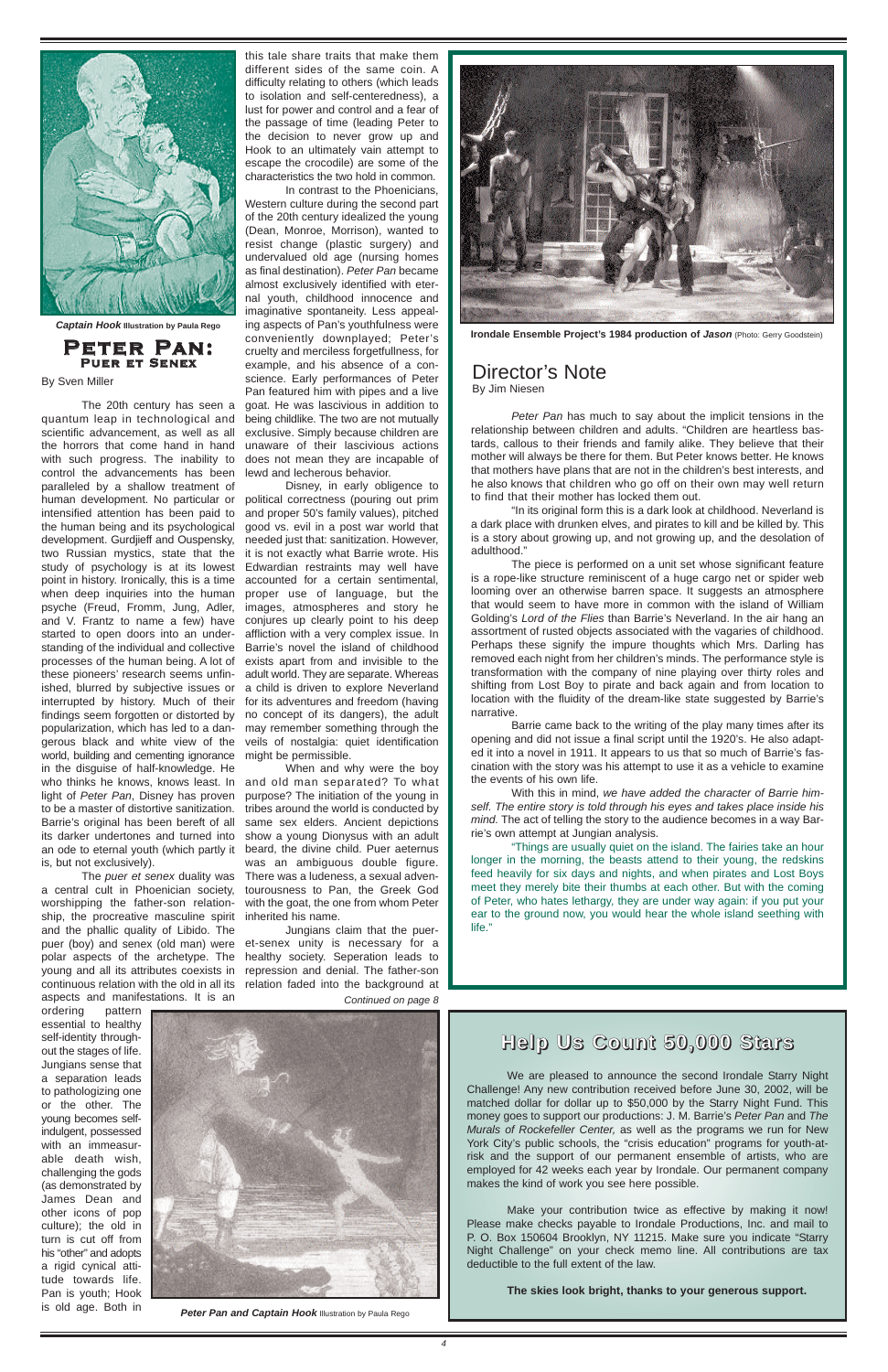#### **Help Us Count 50,000 Stars**

We are pleased to announce the second Irondale Starry Night Challenge! Any new contribution received before June 30, 2002, will be matched dollar for dollar up to \$50,000 by the Starry Night Fund. This money goes to support our productions: J. M. Barrie's Peter Pan and The Murals of Rockefeller Center, as well as the programs we run for New York City's public schools, the "crisis education" programs for youth-atrisk and the support of our permanent ensemble of artists, who are employed for 42 weeks each year by Irondale. Our permanent company makes the kind of work you see here possible.

Make your contribution twice as effective by making it now! Please make checks payable to Irondale Productions, Inc. and mail to P. O. Box 150604 Brooklyn, NY 11215. Make sure you indicate "Starry Night Challenge" on your check memo line. All contributions are tax deductible to the full extent of the law.

**The skies look bright, thanks to your generous support.**

The puer et senex duality was a central cult in Phoenician society, worshipping the father-son relationship, the procreative masculine spirit and the phallic quality of Libido. The puer (boy) and senex (old man) were et-senex unity is necessary for a polar aspects of the archetype. The healthy society. Seperation leads to young and all its attributes coexists in repression and denial. The father-son continuous relation with the old in all its relation faded into the background at aspects and manifestations. It is an

The 20th century has seen a quantum leap in technological and scientific advancement, as well as all the horrors that come hand in hand with such progress. The inability to control the advancements has been paralleled by a shallow treatment of human development. No particular or political correctness (pouring out prim intensified attention has been paid to the human being and its psychological development. Gurdjieff and Ouspensky, two Russian mystics, state that the it is not exactly what Barrie wrote. His study of psychology is at its lowest point in history. Ironically, this is a time when deep inquiries into the human psyche (Freud, Fromm, Jung, Adler, and V. Frantz to name a few) have started to open doors into an understanding of the individual and collective Barrie's novel the island of childhood processes of the human being. A lot of these pioneers' research seems unfinished, blurred by subjective issues or a child is driven to explore Neverland interrupted by history. Much of their for its adventures and freedom (having findings seem forgotten or distorted by popularization, which has led to a dangerous black and white view of the veils of nostalgia: quiet identification world, building and cementing ignorance might be permissible. in the disguise of half-knowledge. He who thinks he knows, knows least. In and old man separated? To what light of Peter Pan, Disney has proven purpose? The initiation of the young in to be a master of distortive sanitization. Barrie's original has been bereft of all its darker undertones and turned into show a young Dionysus with an adult an ode to eternal youth (which partly it beard, the divine child. Puer aeternus is, but not exclusively).

ordering pattern essential to healthy self-identity throughout the stages of life. Jungians sense that a separation leads to pathologizing one or the other. The young becomes selfindulgent, possessed with an immeasurable death wish, challenging the gods (as demonstrated by James Dean and other icons of pop culture); the old in turn is cut off from his "other" and adopts a rigid cynical attitude towards life. Pan is youth; Hook is old age. Both in



**Peter Pan and Captain Hook Illustration by Paula Rego** 

Peter Pan has much to say about the implicit tensions in the relationship between children and adults. "Children are heartless bastards, callous to their friends and family alike. They believe that their mother will always be there for them. But Peter knows better. He knows that mothers have plans that are not in the children's best interests, and he also knows that children who go off on their own may well return to find that their mother has locked them out.

this tale share traits that make them different sides of the same coin. A difficulty relating to others (which leads to isolation and self-centeredness), a lust for power and control and a fear of the passage of time (leading Peter to the decision to never grow up and Hook to an ultimately vain attempt to escape the crocodile) are some of the characteristics the two hold in common.

In contrast to the Phoenicians, Western culture during the second part of the 20th century idealized the young (Dean, Monroe, Morrison), wanted to resist change (plastic surgery) and undervalued old age (nursing homes as final destination). Peter Pan became almost exclusively identified with eternal youth, childhood innocence and imaginative spontaneity. Less appealing aspects of Pan's youthfulness were conveniently downplayed; Peter's cruelty and merciless forgetfullness, for example, and his absence of a conscience. Early performances of Peter Pan featured him with pipes and a live goat. He was lascivious in addition to being childlike. The two are not mutually exclusive. Simply because children are unaware of their lascivious actions does not mean they are incapable of lewd and lecherous behavior.

Disney, in early obligence to and proper 50's family values), pitched good vs. evil in a post war world that needed just that: sanitization. However, Edwardian restraints may well have accounted for a certain sentimental, proper use of language, but the images, atmospheres and story he conjures up clearly point to his deep affliction with a very complex issue. In exists apart from and invisible to the adult world. They are separate. Whereas no concept of its dangers), the adult may remember something through the

When and why were the boy tribes around the world is conducted by same sex elders. Ancient depictions was an ambiguous double figure. There was a ludeness, a sexual adventourousness to Pan, the Greek God with the goat, the one from whom Peter inherited his name.

Jungians claim that the puer-

#### Peter Pan: Puer et Senex

"In its original form this is a dark look at childhood. Neverland is a dark place with drunken elves, and pirates to kill and be killed by. This is a story about growing up, and not growing up, and the desolation of adulthood."

The piece is performed on a unit set whose significant feature is a rope-like structure reminiscent of a huge cargo net or spider web looming over an otherwise barren space. It suggests an atmosphere that would seem to have more in common with the island of William Golding's Lord of the Flies than Barrie's Neverland. In the air hang an assortment of rusted objects associated with the vagaries of childhood. Perhaps these signify the impure thoughts which Mrs. Darling has removed each night from her children's minds. The performance style is transformation with the company of nine playing over thirty roles and shifting from Lost Boy to pirate and back again and from location to location with the fluidity of the dream-like state suggested by Barrie's narrative.

Barrie came back to the writing of the play many times after its opening and did not issue a final script until the 1920's. He also adapted it into a novel in 1911. It appears to us that so much of Barrie's fascination with the story was his attempt to use it as a vehicle to examine the events of his own life.

With this in mind, we have added the character of Barrie himself. The entire story is told through his eyes and takes place inside his mind. The act of telling the story to the audience becomes in a way Barrie's own attempt at Jungian analysis.

"Things are usually quiet on the island. The fairies take an hour longer in the morning, the beasts attend to their young, the redskins feed heavily for six days and nights, and when pirates and Lost Boys meet they merely bite their thumbs at each other. But with the coming of Peter, who hates lethargy, they are under way again: if you put your ear to the ground now, you would hear the whole island seething with life."

#### Director's Note By Jim Niesen



**Captain Hook Illustration by Paula Rego**



**Irondale Ensemble Project's 1984 production of Jason** (Photo: Gerry Goodstein)

By Sven Miller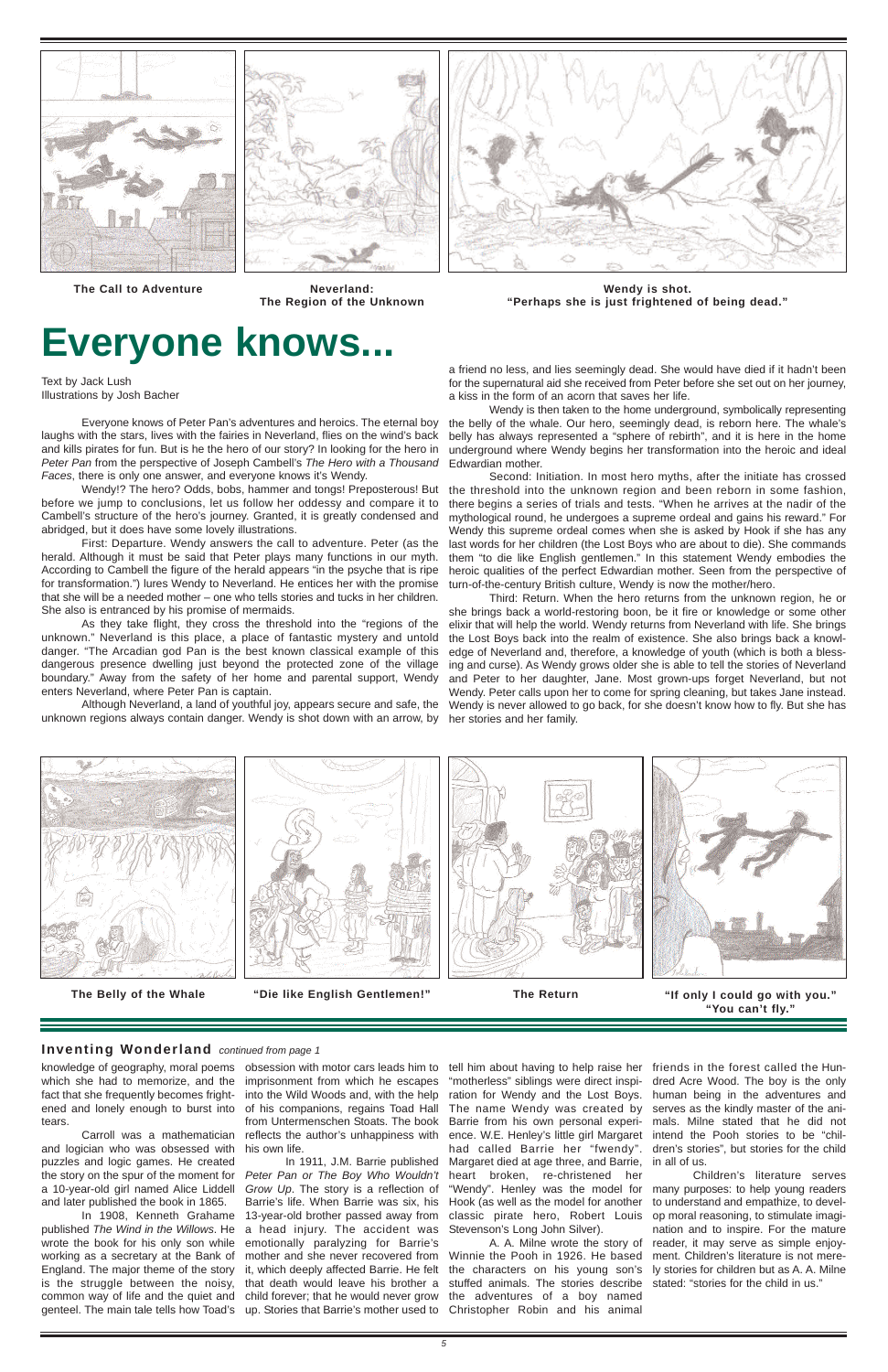Text by Jack Lush Illustrations by Josh Bacher

Everyone knows of Peter Pan's adventures and heroics. The eternal boy laughs with the stars, lives with the fairies in Neverland, flies on the wind's back and kills pirates for fun. But is he the hero of our story? In looking for the hero in Peter Pan from the perspective of Joseph Cambell's The Hero with a Thousand Faces, there is only one answer, and everyone knows it's Wendy.

Wendy!? The hero? Odds, bobs, hammer and tongs! Preposterous! But before we jump to conclusions, let us follow her oddessy and compare it to Cambell's structure of the hero's journey. Granted, it is greatly condensed and abridged, but it does have some lovely illustrations.

First: Departure. Wendy answers the call to adventure. Peter (as the herald. Although it must be said that Peter plays many functions in our myth. According to Cambell the figure of the herald appears "in the psyche that is ripe for transformation.") lures Wendy to Neverland. He entices her with the promise that she will be a needed mother – one who tells stories and tucks in her children. She also is entranced by his promise of mermaids.

As they take flight, they cross the threshold into the "regions of the unknown." Neverland is this place, a place of fantastic mystery and untold danger. "The Arcadian god Pan is the best known classical example of this dangerous presence dwelling just beyond the protected zone of the village boundary." Away from the safety of her home and parental support, Wendy enters Neverland, where Peter Pan is captain.

**The Call to Adventure Neverland:**

**The Region of the Unknown**

**"If only I could go with you."**

#### **Inventing Wonderland** continued from page 1





**Wendy is shot.** 

**"Perhaps she is just frightened of being dead."**



**The Belly of the Whale "Die like English Gentlemen!" The Return**





a friend no less, and lies seemingly dead. She would have died if it hadn't been for the supernatural aid she received from Peter before she set out on her journey, a kiss in the form of an acorn that saves her life.

In 1908, Kenneth Grahame published The Wind in the Willows. He wrote the book for his only son while working as a secretary at the Bank of England. The major theme of the story is the struggle between the noisy, common way of life and the quiet and genteel. The main tale tells how Toad's up. Stories that Barrie's mother used to Christopher Robin and his animal

Wendy is then taken to the home underground, symbolically representing the belly of the whale. Our hero, seemingly dead, is reborn here. The whale's belly has always represented a "sphere of rebirth", and it is here in the home underground where Wendy begins her transformation into the heroic and ideal Edwardian mother.

Although Neverland, a land of youthful joy, appears secure and safe, the unknown regions always contain danger. Wendy is shot down with an arrow, by her stories and her family.

Second: Initiation. In most hero myths, after the initiate has crossed the threshold into the unknown region and been reborn in some fashion, there begins a series of trials and tests. "When he arrives at the nadir of the mythological round, he undergoes a supreme ordeal and gains his reward." For Wendy this supreme ordeal comes when she is asked by Hook if she has any last words for her children (the Lost Boys who are about to die). She commands them "to die like English gentlemen." In this statement Wendy embodies the heroic qualities of the perfect Edwardian mother. Seen from the perspective of turn-of-the-century British culture, Wendy is now the mother/hero.

Third: Return. When the hero returns from the unknown region, he or she brings back a world-restoring boon, be it fire or knowledge or some other elixir that will help the world. Wendy returns from Neverland with life. She brings the Lost Boys back into the realm of existence. She also brings back a knowledge of Neverland and, therefore, a knowledge of youth (which is both a blessing and curse). As Wendy grows older she is able to tell the stories of Neverland and Peter to her daughter, Jane. Most grown-ups forget Neverland, but not Wendy. Peter calls upon her to come for spring cleaning, but takes Jane instead. Wendy is never allowed to go back, for she doesn't know how to fly. But she has



## **Everyone knows...**

knowledge of geography, moral poems obsession with motor cars leads him to which she had to memorize, and the fact that she frequently becomes frightened and lonely enough to burst into tears.

Carroll was a mathematician and logician who was obsessed with puzzles and logic games. He created the story on the spur of the moment for a 10-year-old girl named Alice Liddell and later published the book in 1865.

imprisonment from which he escapes into the Wild Woods and, with the help of his companions, regains Toad Hall from Untermenschen Stoats. The book reflects the author's unhappiness with his own life.

In 1911, J.M. Barrie published Peter Pan or The Boy Who Wouldn't Grow Up. The story is a reflection of Barrie's life. When Barrie was six, his 13-year-old brother passed away from a head injury. The accident was emotionally paralyzing for Barrie's mother and she never recovered from it, which deeply affected Barrie. He felt that death would leave his brother a child forever; that he would never grow

"motherless" siblings were direct inspiration for Wendy and the Lost Boys. The name Wendy was created by Barrie from his own personal experience. W.E. Henley's little girl Margaret had called Barrie her "fwendy". Margaret died at age three, and Barrie,

heart broken, re-christened her "Wendy". Henley was the model for many purposes: to help young readers Hook (as well as the model for another classic pirate hero, Robert Louis Stevenson's Long John Silver).

tell him about having to help raise her friends in the forest called the Hundred Acre Wood. The boy is the only human being in the adventures and serves as the kindly master of the animals. Milne stated that he did not intend the Pooh stories to be "children's stories", but stories for the child in all of us.

A. A. Milne wrote the story of Winnie the Pooh in 1926. He based the characters on his young son's stuffed animals. The stories describe the adventures of a boy named

Children's literature serves to understand and empathize, to develop moral reasoning, to stimulate imagination and to inspire. For the mature reader, it may serve as simple enjoyment. Children's literature is not merely stories for children but as A. A. Milne stated: "stories for the child in us."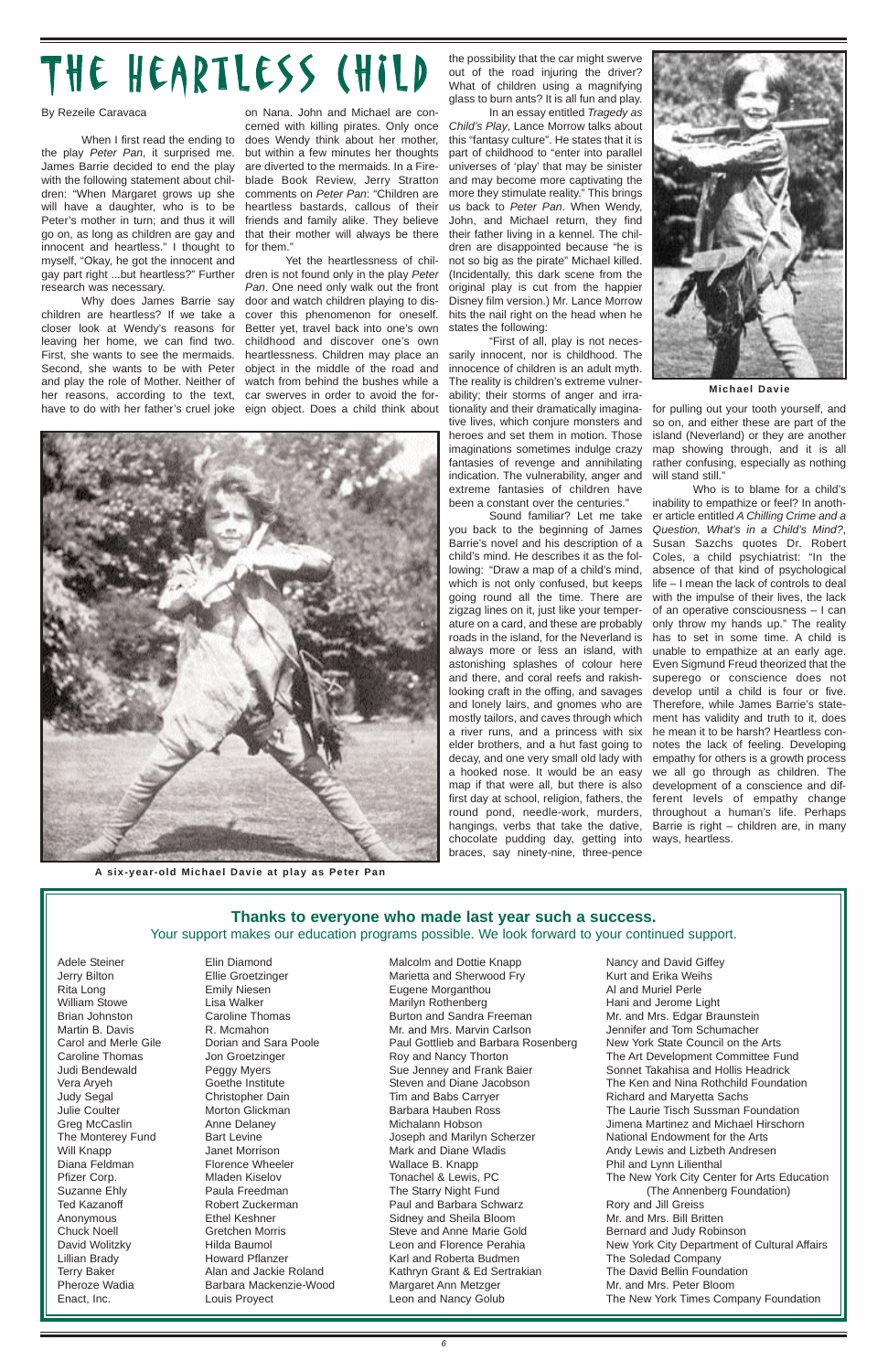# THE HEARTLESS (HILD

By Rezeile Caravaca

When I first read the ending to the play Peter Pan, it surprised me. James Barrie decided to end the play with the following statement about children: "When Margaret grows up she will have a daughter, who is to be Peter's mother in turn; and thus it will go on, as long as children are gay and innocent and heartless." I thought to myself, "Okay, he got the innocent and gay part right ...but heartless?" Further dren is not found only in the play Peter research was necessary.

Why does James Barrie say children are heartless? If we take a closer look at Wendy's reasons for leaving her home, we can find two. First, she wants to see the mermaids. Second, she wants to be with Peter and play the role of Mother. Neither of her reasons, according to the text, have to do with her father's cruel joke

on Nana. John and Michael are concerned with killing pirates. Only once does Wendy think about her mother, but within a few minutes her thoughts are diverted to the mermaids. In a Fireblade Book Review, Jerry Stratton comments on Peter Pan: "Children are heartless bastards, callous of their friends and family alike. They believe that their mother will always be there for them."

In an essay entitled Tragedy as Child's Play, Lance Morrow talks about this "fantasy culture". He states that it is part of childhood to "enter into parallel universes of 'play' that may be sinister and may become more captivating the more they stimulate reality." This brings us back to Peter Pan. When Wendy, John, and Michael return, they find their father living in a kennel. The children are disappointed because "he is not so big as the pirate" Michael killed. (Incidentally, this dark scene from the original play is cut from the happier Disney film version.) Mr. Lance Morrow hits the nail right on the head when he states the following:

Yet the heartlessness of chil-Pan. One need only walk out the front door and watch children playing to discover this phenomenon for oneself. Better yet, travel back into one's own childhood and discover one's own heartlessness. Children may place an object in the middle of the road and watch from behind the bushes while a car swerves in order to avoid the foreign object. Does a child think about

the possibility that the car might swerve out of the road injuring the driver? What of children using a magnifying glass to burn ants? It is all fun and play.

"First of all, play is not necessarily innocent, nor is childhood. The innocence of children is an adult myth. The reality is children's extreme vulnerability; their storms of anger and irrationality and their dramatically imaginative lives, which conjure monsters and heroes and set them in motion. Those imaginations sometimes indulge crazy fantasies of revenge and annihilating indication. The vulnerability, anger and extreme fantasies of children have been a constant over the centuries."

for pulling out your tooth yourself, and so on, and either these are part of the island (Neverland) or they are another map showing through, and it is all rather confusing, especially as nothing will stand still."

Sound familiar? Let me take you back to the beginning of James Barrie's novel and his description of a child's mind. He describes it as the following: "Draw a map of a child's mind, which is not only confused, but keeps going round all the time. There are zigzag lines on it, just like your temperature on a card, and these are probably roads in the island, for the Neverland is always more or less an island, with astonishing splashes of colour here and there, and coral reefs and rakishlooking craft in the offing, and savages and lonely lairs, and gnomes who are mostly tailors, and caves through which a river runs, and a princess with six elder brothers, and a hut fast going to decay, and one very small old lady with a hooked nose. It would be an easy map if that were all, but there is also first day at school, religion, fathers, the round pond, needle-work, murders, hangings, verbs that take the dative, chocolate pudding day, getting into braces, say ninety-nine, three-pence



Adele Steiner Jerry Bilton Rita Long William Stowe

Brian Johnston Martin B. Davis Carol and Merle Gile Caroline Thomas Judi Bendewald Vera Aryeh Judy Segal Julie Coulter Greg McCaslin The Monterey Fund Will Knapp Diana Feldman Pfizer Corp. Suzanne Ehly Ted Kazanoff Anonymous Chuck Noell David Wolitzky Lillian Brady Terry Baker Pheroze Wadia Enact, Inc.

Elin Diamond Ellie Groetzinger Emily Niesen Lisa Walker

Caroline Thomas R. Mcmahon Dorian and Sara Poole Jon Groetzinger Peggy Myers Goethe Institute Christopher Dain Morton Glickman Anne Delaney Bart Levine Janet Morrison Florence Wheeler Mladen Kiselov Paula Freedman Robert Zuckerman Ethel Keshner Gretchen Morris Hilda Baumol Howard Pflanzer Alan and Jackie Roland Barbara Mackenzie-Wood Louis Proyect

Malcolm and Dottie Knapp Marietta and Sherwood Fry Eugene Morganthou Marilyn Rothenberg Burton and Sandra Freeman Mr. and Mrs. Marvin Carlson Paul Gottlieb and Barbara Rosenberg Roy and Nancy Thorton Sue Jenney and Frank Baier Steven and Diane Jacobson Tim and Babs Carryer Barbara Hauben Ross Michalann Hobson Joseph and Marilyn Scherzer Mark and Diane Wladis Wallace B. Knapp Tonachel & Lewis, PC The Starry Night Fund Paul and Barbara Schwarz Sidney and Sheila Bloom Steve and Anne Marie Gold Leon and Florence Perahia Karl and Roberta Budmen Kathryn Grant & Ed Sertrakian Margaret Ann Metzger Leon and Nancy Golub

Nancy and David Giffey Kurt and Erika Weihs Al and Muriel Perle Hani and Jerome Light Mr. and Mrs. Edgar Braunstein Jennifer and Tom Schumacher New York State Council on the Arts The Art Development Committee Fund Sonnet Takahisa and Hollis Headrick The Ken and Nina Rothchild Foundation Richard and Maryetta Sachs The Laurie Tisch Sussman Foundation Jimena Martinez and Michael Hirschorn National Endowment for the Arts Andy Lewis and Lizbeth Andresen Phil and Lynn Lilienthal The New York City Center for Arts Education (The Annenberg Foundation) Rory and Jill Greiss Mr. and Mrs. Bill Britten Bernard and Judy Robinson New York City Department of Cultural Affairs The Soledad Company The David Bellin Foundation Mr. and Mrs. Peter Bloom The New York Times Company Foundation

#### **Thanks to everyone who made last year such a success.**

Your support makes our education programs possible. We look forward to your continued support.

Who is to blame for a child's inability to empathize or feel? In another article entitled A Chilling Crime and a Question, What's in a Child's Mind?, Susan Sazchs quotes Dr. Robert Coles, a child psychiatrist: "In the absence of that kind of psychological life – I mean the lack of controls to deal with the impulse of their lives, the lack of an operative consciousness – I can only throw my hands up." The reality has to set in some time. A child is unable to empathize at an early age. Even Sigmund Freud theorized that the superego or conscience does not develop until a child is four or five. Therefore, while James Barrie's statement has validity and truth to it, does he mean it to be harsh? Heartless connotes the lack of feeling. Developing empathy for others is a growth process we all go through as children. The development of a conscience and different levels of empathy change throughout a human's life. Perhaps Barrie is right – children are, in many ways, heartless.



**A six-year-old Michael Davie at play as Peter Pan**

**Michael Davie**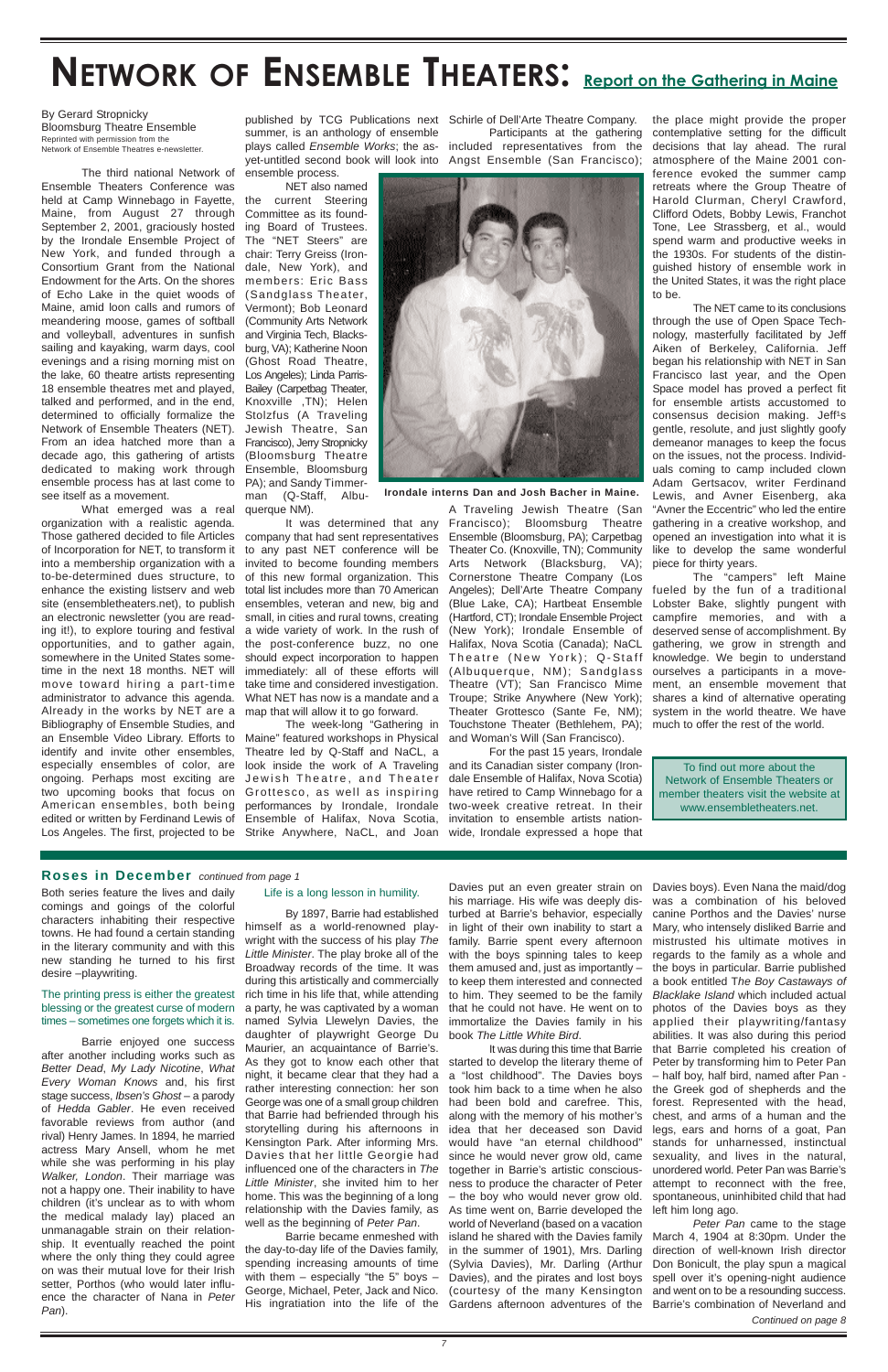## NETWORK OF ENSEMBLE THEATERS: Report on the Gathering in Maine

#### By Gerard Stropnicky Bloomsburg Theatre Ensemble Reprinted with permission from the Network of Ensemble Theatres e-newsletter.

The third national Network of Ensemble Theaters Conference was held at Camp Winnebago in Fayette, Maine, from August 27 through September 2, 2001, graciously hosted by the Irondale Ensemble Project of New York, and funded through a Consortium Grant from the National Endowment for the Arts. On the shores of Echo Lake in the quiet woods of Maine, amid loon calls and rumors of meandering moose, games of softball and volleyball, adventures in sunfish sailing and kayaking, warm days, cool evenings and a rising morning mist on the lake, 60 theatre artists representing 18 ensemble theatres met and played, talked and performed, and in the end, determined to officially formalize the Network of Ensemble Theaters (NET). From an idea hatched more than a decade ago, this gathering of artists dedicated to making work through ensemble process has at last come to see itself as a movement.

What emerged was a real organization with a realistic agenda. Those gathered decided to file Articles of Incorporation for NET, to transform it into a membership organization with a to-be-determined dues structure, to enhance the existing listserv and web site (ensembletheaters.net), to publish an electronic newsletter (you are reading it!), to explore touring and festival opportunities, and to gather again, somewhere in the United States sometime in the next 18 months. NET will move toward hiring a part-time administrator to advance this agenda. Already in the works by NET are a Bibliography of Ensemble Studies, and an Ensemble Video Library. Efforts to identify and invite other ensembles, especially ensembles of color, are ongoing. Perhaps most exciting are two upcoming books that focus on American ensembles, both being edited or written by Ferdinand Lewis of Los Angeles. The first, projected to be

ensemble process. NET also named

the current Steering Committee as its founding Board of Trustees. The "NET Steers" are chair: Terry Greiss (Irondale, New York), and members: Eric Bass (Sandglass Theater, Vermont); Bob Leonard (Community Arts Network and Virginia Tech, Blacksburg, VA); Katherine Noon (Ghost Road Theatre, Los Angeles); Linda Parris-Bailey (Carpetbag Theater, Knoxville ,TN); Helen Stolzfus (A Traveling Jewish Theatre, San Francisco), Jerry Stropnicky (Bloomsburg Theatre Ensemble, Bloomsburg PA); and Sandy Timmerman (Q-Staff, Albu-

querque NM).

published by TCG Publications next Schirle of Dell'Arte Theatre Company. summer, is an anthology of ensemble plays called Ensemble Works; the asyet-untitled second book will look into Angst Ensemble (San Francisco);

It was determined that any company that had sent representatives to any past NET conference will be invited to become founding members of this new formal organization. This total list includes more than 70 American ensembles, veteran and new, big and small, in cities and rural towns, creating a wide variety of work. In the rush of the post-conference buzz, no one should expect incorporation to happen immediately: all of these efforts will take time and considered investigation. What NET has now is a mandate and a map that will allow it to go forward.

Participants at the gathering

included representatives from the



The week-long "Gathering in Maine" featured workshops in Physical Theatre led by Q-Staff and NaCL, a look inside the work of A Traveling Jewish Theatre, and Theater Grottesco, as well as inspiring performances by Irondale, Irondale Ensemble of Halifax, Nova Scotia, Strike Anywhere, NaCL, and Joan wide, Irondale expressed a hope that

A Traveling Jewish Theatre (San Francisco); Bloomsburg Theatre Ensemble (Bloomsburg, PA); Carpetbag Theater Co. (Knoxville, TN); Community Arts Network (Blacksburg, VA); Cornerstone Theatre Company (Los Angeles); Dell'Arte Theatre Company (Blue Lake, CA); Hartbeat Ensemble (Hartford, CT); Irondale Ensemble Project (New York); Irondale Ensemble of Halifax, Nova Scotia (Canada); NaCL Theatre (New York); Q-Staff (Albuquerque, NM); Sandglass Theatre (VT); San Francisco Mime Troupe; Strike Anywhere (New York); Theater Grottesco (Sante Fe, NM); Touchstone Theater (Bethlehem, PA); much to offer the rest of the world. and Woman's Will (San Francisco).

For the past 15 years, Irondale and its Canadian sister company (Irondale Ensemble of Halifax, Nova Scotia) have retired to Camp Winnebago for a two-week creative retreat. In their invitation to ensemble artists nation-

the place might provide the proper contemplative setting for the difficult decisions that lay ahead. The rural atmosphere of the Maine 2001 conference evoked the summer camp retreats where the Group Theatre of Harold Clurman, Cheryl Crawford, Clifford Odets, Bobby Lewis, Franchot Tone, Lee Strassberg, et al., would spend warm and productive weeks in the 1930s. For students of the distinguished history of ensemble work in the United States, it was the right place to be.

The NET came to its conclusions through the use of Open Space Technology, masterfully facilitated by Jeff Aiken of Berkeley, California. Jeff began his relationship with NET in San Francisco last year, and the Open Space model has proved a perfect fit for ensemble artists accustomed to consensus decision making. Jeff<sup>1</sup>s gentle, resolute, and just slightly goofy demeanor manages to keep the focus on the issues, not the process. Individuals coming to camp included clown Adam Gertsacov, writer Ferdinand Lewis, and Avner Eisenberg, aka "Avner the Eccentric" who led the entire gathering in a creative workshop, and opened an investigation into what it is like to develop the same wonderful piece for thirty years.

a party, he was captivated by a woman that he could not have. He went on to photos of the Davies boys as they named Sylvia Llewelyn Davies, the immortalize the Davies family in his applied their playwriting/fantasy Davies put an even greater strain on Davies boys). Even Nana the maid/dog in light of their own inability to start a Mary, who intensely disliked Barrie and them amused and, just as importantly – the boys in particular. Barrie published to keep them interested and connected a book entitled The Boy Castaways of to him. They seemed to be the family Blacklake Island which included actual was a combination of his beloved canine Porthos and the Davies' nurse mistrusted his ultimate motives in regards to the family as a whole and abilities. It was also during this period that Barrie completed his creation of Peter by transforming him to Peter Pan – half boy, half bird, named after Pan the Greek god of shepherds and the forest. Represented with the head, chest, and arms of a human and the legs, ears and horns of a goat, Pan stands for unharnessed, instinctual sexuality, and lives in the natural, unordered world. Peter Pan was Barrie's attempt to reconnect with the free, spontaneous, uninhibited child that had left him long ago. Peter Pan came to the stage March 4, 1904 at 8:30pm. Under the direction of well-known Irish director Don Bonicult, the play spun a magical spell over it's opening-night audience and went on to be a resounding success.

The "campers" left Maine fueled by the fun of a traditional Lobster Bake, slightly pungent with campfire memories, and with a deserved sense of accomplishment. By gathering, we grow in strength and knowledge. We begin to understand ourselves a participants in a movement, an ensemble movement that shares a kind of alternative operating system in the world theatre. We have

**Irondale interns Dan and Josh Bacher in Maine.**

To find out more about the Network of Ensemble Theaters or member theaters visit the website at www.ensembletheaters.net.

Both series feature the lives and daily comings and goings of the colorful characters inhabiting their respective towns. He had found a certain standing in the literary community and with this new standing he turned to his first desire –playwriting.

The printing press is either the greatest blessing or the greatest curse of modern times – sometimes one forgets which it is.

Barrie enjoyed one success after another including works such as Better Dead, My Lady Nicotine, What Every Woman Knows and, his first stage success, Ibsen's Ghost – a parody of Hedda Gabler. He even received favorable reviews from author (and rival) Henry James. In 1894, he married actress Mary Ansell, whom he met while she was performing in his play Walker, London. Their marriage was not a happy one. Their inability to have children (it's unclear as to with whom the medical malady lay) placed an unmanagable strain on their relationship. It eventually reached the point where the only thing they could agree on was their mutual love for their Irish setter, Porthos (who would later influence the character of Nana in Peter Pan).

#### Life is a long lesson in humility.

By 1897, Barrie had established himself as a world-renowned playwright with the success of his play The Little Minister. The play broke all of the Broadway records of the time. It was during this artistically and commercially rich time in his life that, while attending daughter of playwright George Du Maurier, an acquaintance of Barrie's. As they got to know each other that night, it became clear that they had a rather interesting connection: her son George was one of a small group children that Barrie had befriended through his storytelling during his afternoons in Kensington Park. After informing Mrs. Davies that her little Georgie had influenced one of the characters in The Little Minister, she invited him to her home. This was the beginning of a long relationship with the Davies family, as well as the beginning of Peter Pan. Barrie became enmeshed with the day-to-day life of the Davies family, spending increasing amounts of time with them  $-$  especially "the 5" boys  $-$ George, Michael, Peter, Jack and Nico.

his marriage. His wife was deeply disturbed at Barrie's behavior, especially family. Barrie spent every afternoon with the boys spinning tales to keep

book The Little White Bird.

His ingratiation into the life of the Gardens afternoon adventures of the Barrie's combination of Neverland and It was during this time that Barrie started to develop the literary theme of a "lost childhood". The Davies boys took him back to a time when he also had been bold and carefree. This, along with the memory of his mother's idea that her deceased son David would have "an eternal childhood" since he would never grow old, came together in Barrie's artistic consciousness to produce the character of Peter – the boy who would never grow old. As time went on, Barrie developed the world of Neverland (based on a vacation island he shared with the Davies family in the summer of 1901), Mrs. Darling (Sylvia Davies), Mr. Darling (Arthur Davies), and the pirates and lost boys (courtesy of the many Kensington

#### **Roses in December** continued from page 1

Continued on page 8